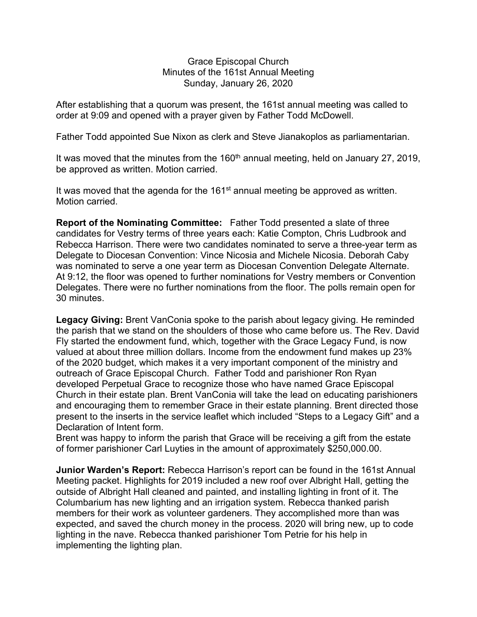Grace Episcopal Church Minutes of the 161st Annual Meeting Sunday, January 26, 2020

After establishing that a quorum was present, the 161st annual meeting was called to order at 9:09 and opened with a prayer given by Father Todd McDowell.

Father Todd appointed Sue Nixon as clerk and Steve Jianakoplos as parliamentarian.

It was moved that the minutes from the 160<sup>th</sup> annual meeting, held on January 27, 2019, be approved as written. Motion carried.

It was moved that the agenda for the  $161<sup>st</sup>$  annual meeting be approved as written. Motion carried.

**Report of the Nominating Committee:** Father Todd presented a slate of three candidates for Vestry terms of three years each: Katie Compton, Chris Ludbrook and Rebecca Harrison. There were two candidates nominated to serve a three-year term as Delegate to Diocesan Convention: Vince Nicosia and Michele Nicosia. Deborah Caby was nominated to serve a one year term as Diocesan Convention Delegate Alternate. At 9:12, the floor was opened to further nominations for Vestry members or Convention Delegates. There were no further nominations from the floor. The polls remain open for 30 minutes.

**Legacy Giving:** Brent VanConia spoke to the parish about legacy giving. He reminded the parish that we stand on the shoulders of those who came before us. The Rev. David Fly started the endowment fund, which, together with the Grace Legacy Fund, is now valued at about three million dollars. Income from the endowment fund makes up 23% of the 2020 budget, which makes it a very important component of the ministry and outreach of Grace Episcopal Church. Father Todd and parishioner Ron Ryan developed Perpetual Grace to recognize those who have named Grace Episcopal Church in their estate plan. Brent VanConia will take the lead on educating parishioners and encouraging them to remember Grace in their estate planning. Brent directed those present to the inserts in the service leaflet which included "Steps to a Legacy Gift" and a Declaration of Intent form.

Brent was happy to inform the parish that Grace will be receiving a gift from the estate of former parishioner Carl Luyties in the amount of approximately \$250,000.00.

**Junior Warden's Report:** Rebecca Harrison's report can be found in the 161st Annual Meeting packet. Highlights for 2019 included a new roof over Albright Hall, getting the outside of Albright Hall cleaned and painted, and installing lighting in front of it. The Columbarium has new lighting and an irrigation system. Rebecca thanked parish members for their work as volunteer gardeners. They accomplished more than was expected, and saved the church money in the process. 2020 will bring new, up to code lighting in the nave. Rebecca thanked parishioner Tom Petrie for his help in implementing the lighting plan.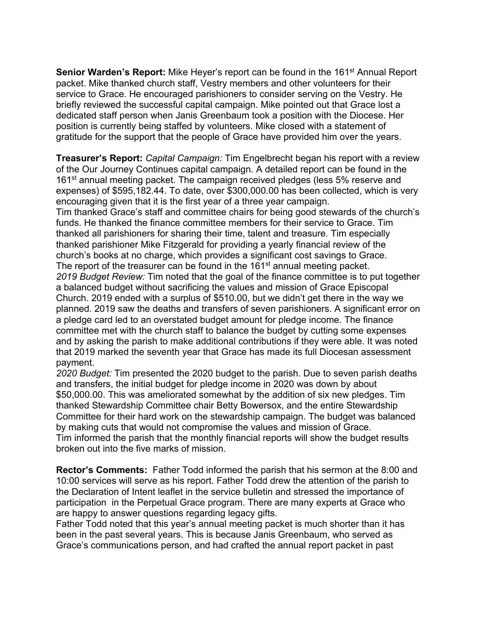**Senior Warden's Report:** Mike Heyer's report can be found in the 161<sup>st</sup> Annual Report packet. Mike thanked church staff, Vestry members and other volunteers for their service to Grace. He encouraged parishioners to consider serving on the Vestry. He briefly reviewed the successful capital campaign. Mike pointed out that Grace lost a dedicated staff person when Janis Greenbaum took a position with the Diocese. Her position is currently being staffed by volunteers. Mike closed with a statement of gratitude for the support that the people of Grace have provided him over the years.

**Treasurer's Report:** *Capital Campaign:* Tim Engelbrecht began his report with a review of the Our Journey Continues capital campaign. A detailed report can be found in the 161<sup>st</sup> annual meeting packet. The campaign received pledges (less 5% reserve and expenses) of \$595,182.44. To date, over \$300,000.00 has been collected, which is very encouraging given that it is the first year of a three year campaign.

Tim thanked Grace's staff and committee chairs for being good stewards of the church's funds. He thanked the finance committee members for their service to Grace. Tim thanked all parishioners for sharing their time, talent and treasure. Tim especially thanked parishioner Mike Fitzgerald for providing a yearly financial review of the church's books at no charge, which provides a significant cost savings to Grace. The report of the treasurer can be found in the 161<sup>st</sup> annual meeting packet. *2019 Budget Review:* Tim noted that the goal of the finance committee is to put together a balanced budget without sacrificing the values and mission of Grace Episcopal Church. 2019 ended with a surplus of \$510.00, but we didn't get there in the way we planned. 2019 saw the deaths and transfers of seven parishioners. A significant error on a pledge card led to an overstated budget amount for pledge income. The finance committee met with the church staff to balance the budget by cutting some expenses and by asking the parish to make additional contributions if they were able. It was noted that 2019 marked the seventh year that Grace has made its full Diocesan assessment payment.

*2020 Budget:* Tim presented the 2020 budget to the parish. Due to seven parish deaths and transfers, the initial budget for pledge income in 2020 was down by about \$50,000.00. This was ameliorated somewhat by the addition of six new pledges. Tim thanked Stewardship Committee chair Betty Bowersox, and the entire Stewardship Committee for their hard work on the stewardship campaign. The budget was balanced by making cuts that would not compromise the values and mission of Grace. Tim informed the parish that the monthly financial reports will show the budget results broken out into the five marks of mission.

**Rector's Comments:** Father Todd informed the parish that his sermon at the 8:00 and 10:00 services will serve as his report. Father Todd drew the attention of the parish to the Declaration of Intent leaflet in the service bulletin and stressed the importance of participation in the Perpetual Grace program. There are many experts at Grace who are happy to answer questions regarding legacy gifts.

Father Todd noted that this year's annual meeting packet is much shorter than it has been in the past several years. This is because Janis Greenbaum, who served as Grace's communications person, and had crafted the annual report packet in past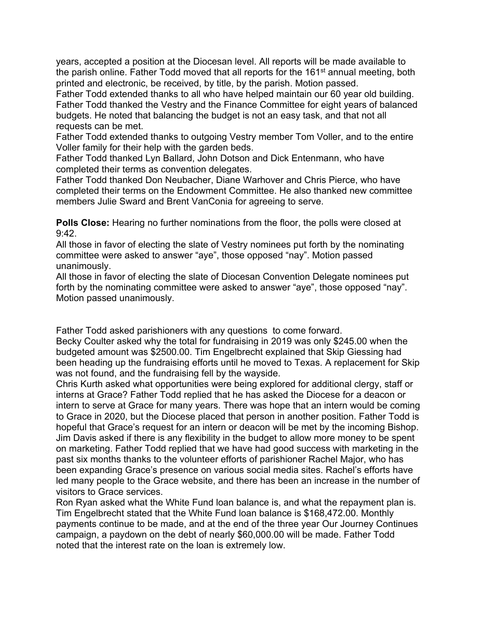years, accepted a position at the Diocesan level. All reports will be made available to the parish online. Father Todd moved that all reports for the 161<sup>st</sup> annual meeting, both printed and electronic, be received, by title, by the parish. Motion passed.

Father Todd extended thanks to all who have helped maintain our 60 year old building. Father Todd thanked the Vestry and the Finance Committee for eight years of balanced budgets. He noted that balancing the budget is not an easy task, and that not all requests can be met.

Father Todd extended thanks to outgoing Vestry member Tom Voller, and to the entire Voller family for their help with the garden beds.

Father Todd thanked Lyn Ballard, John Dotson and Dick Entenmann, who have completed their terms as convention delegates.

Father Todd thanked Don Neubacher, Diane Warhover and Chris Pierce, who have completed their terms on the Endowment Committee. He also thanked new committee members Julie Sward and Brent VanConia for agreeing to serve.

**Polls Close:** Hearing no further nominations from the floor, the polls were closed at  $9.42$ 

All those in favor of electing the slate of Vestry nominees put forth by the nominating committee were asked to answer "aye", those opposed "nay". Motion passed unanimously.

All those in favor of electing the slate of Diocesan Convention Delegate nominees put forth by the nominating committee were asked to answer "aye", those opposed "nay". Motion passed unanimously.

Father Todd asked parishioners with any questions to come forward.

Becky Coulter asked why the total for fundraising in 2019 was only \$245.00 when the budgeted amount was \$2500.00. Tim Engelbrecht explained that Skip Giessing had been heading up the fundraising efforts until he moved to Texas. A replacement for Skip was not found, and the fundraising fell by the wayside.

Chris Kurth asked what opportunities were being explored for additional clergy, staff or interns at Grace? Father Todd replied that he has asked the Diocese for a deacon or intern to serve at Grace for many years. There was hope that an intern would be coming to Grace in 2020, but the Diocese placed that person in another position. Father Todd is hopeful that Grace's request for an intern or deacon will be met by the incoming Bishop. Jim Davis asked if there is any flexibility in the budget to allow more money to be spent on marketing. Father Todd replied that we have had good success with marketing in the past six months thanks to the volunteer efforts of parishioner Rachel Major, who has been expanding Grace's presence on various social media sites. Rachel's efforts have led many people to the Grace website, and there has been an increase in the number of visitors to Grace services.

Ron Ryan asked what the White Fund loan balance is, and what the repayment plan is. Tim Engelbrecht stated that the White Fund loan balance is \$168,472.00. Monthly payments continue to be made, and at the end of the three year Our Journey Continues campaign, a paydown on the debt of nearly \$60,000.00 will be made. Father Todd noted that the interest rate on the loan is extremely low.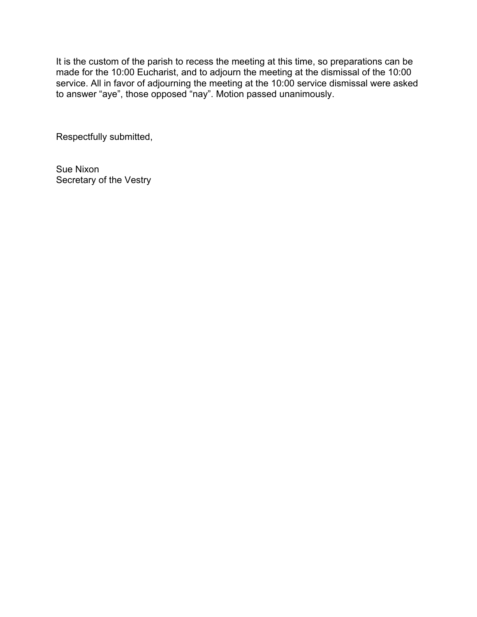It is the custom of the parish to recess the meeting at this time, so preparations can be made for the 10:00 Eucharist, and to adjourn the meeting at the dismissal of the 10:00 service. All in favor of adjourning the meeting at the 10:00 service dismissal were asked to answer "aye", those opposed "nay". Motion passed unanimously.

Respectfully submitted,

Sue Nixon Secretary of the Vestry